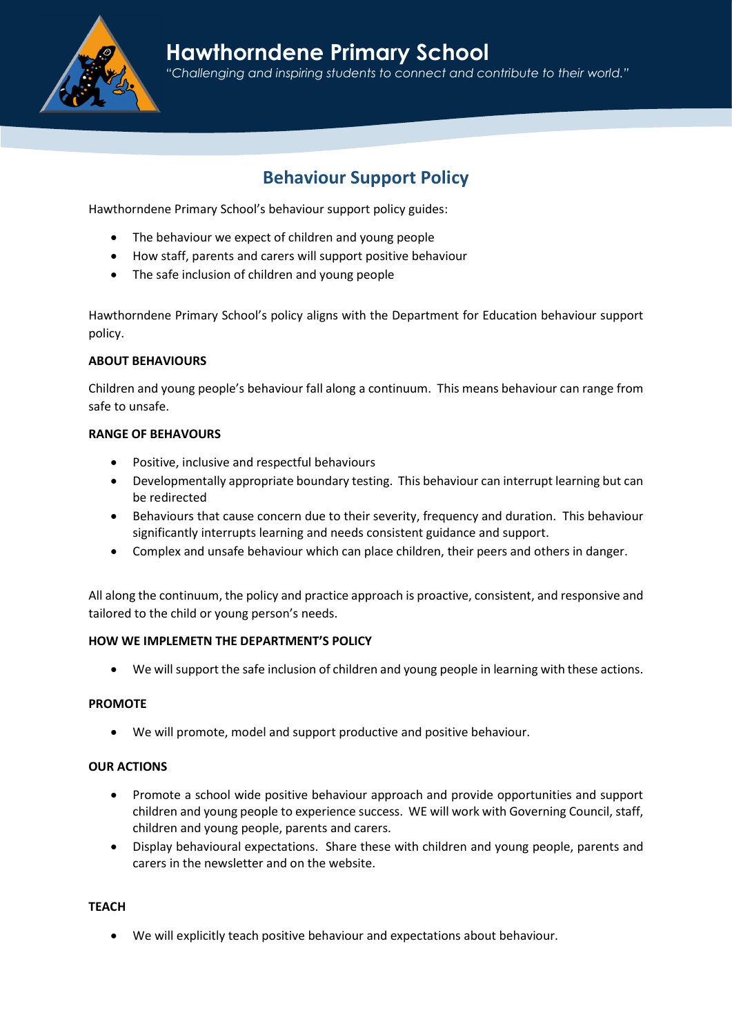

## Hawthorndene Primary School "Challenging and inspiring students to connect and contribute to their world."

# Behaviour Support Policy

Hawthorndene Primary School's behaviour support policy guides:

- The behaviour we expect of children and young people
- How staff, parents and carers will support positive behaviour
- The safe inclusion of children and young people

Hawthorndene Primary School's policy aligns with the Department for Education behaviour support policy.

## ABOUT BEHAVIOURS

Children and young people's behaviour fall along a continuum. This means behaviour can range from safe to unsafe.

## RANGE OF BEHAVOURS

- Positive, inclusive and respectful behaviours
- Developmentally appropriate boundary testing. This behaviour can interrupt learning but can be redirected
- Behaviours that cause concern due to their severity, frequency and duration. This behaviour significantly interrupts learning and needs consistent guidance and support.
- Complex and unsafe behaviour which can place children, their peers and others in danger.

All along the continuum, the policy and practice approach is proactive, consistent, and responsive and tailored to the child or young person's needs.

## HOW WE IMPLEMETN THE DEPARTMENT'S POLICY

We will support the safe inclusion of children and young people in learning with these actions.

## PROMOTE

We will promote, model and support productive and positive behaviour.

## OUR ACTIONS

- Promote a school wide positive behaviour approach and provide opportunities and support children and young people to experience success. WE will work with Governing Council, staff, children and young people, parents and carers.
- Display behavioural expectations. Share these with children and young people, parents and carers in the newsletter and on the website.

## **TEACH**

We will explicitly teach positive behaviour and expectations about behaviour.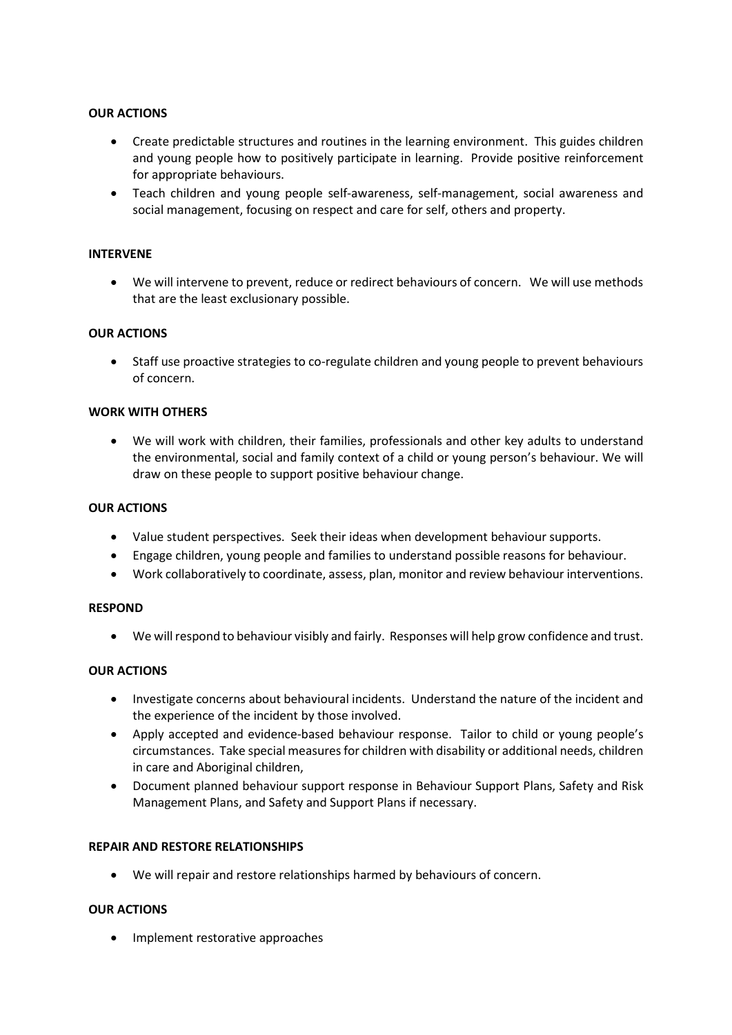## OUR ACTIONS

- Create predictable structures and routines in the learning environment. This guides children and young people how to positively participate in learning. Provide positive reinforcement for appropriate behaviours.
- Teach children and young people self-awareness, self-management, social awareness and social management, focusing on respect and care for self, others and property.

## INTERVENE

 We will intervene to prevent, reduce or redirect behaviours of concern. We will use methods that are the least exclusionary possible.

## OUR ACTIONS

 Staff use proactive strategies to co-regulate children and young people to prevent behaviours of concern.

## WORK WITH OTHERS

 We will work with children, their families, professionals and other key adults to understand the environmental, social and family context of a child or young person's behaviour. We will draw on these people to support positive behaviour change.

## OUR ACTIONS

- Value student perspectives. Seek their ideas when development behaviour supports.
- Engage children, young people and families to understand possible reasons for behaviour.
- Work collaboratively to coordinate, assess, plan, monitor and review behaviour interventions.

#### RESPOND

We will respond to behaviour visibly and fairly. Responses will help grow confidence and trust.

## OUR ACTIONS

- Investigate concerns about behavioural incidents. Understand the nature of the incident and the experience of the incident by those involved.
- Apply accepted and evidence-based behaviour response. Tailor to child or young people's circumstances. Take special measures for children with disability or additional needs, children in care and Aboriginal children,
- Document planned behaviour support response in Behaviour Support Plans, Safety and Risk Management Plans, and Safety and Support Plans if necessary.

#### REPAIR AND RESTORE RELATIONSHIPS

We will repair and restore relationships harmed by behaviours of concern.

## OUR ACTIONS

• Implement restorative approaches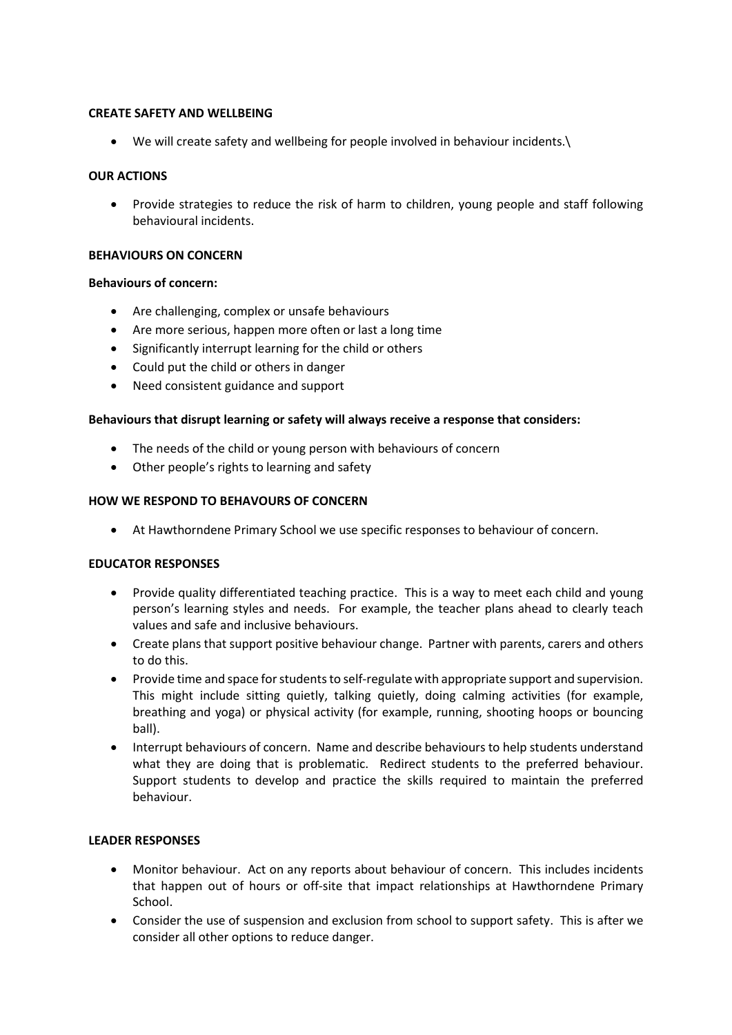## CREATE SAFETY AND WELLBEING

We will create safety and wellbeing for people involved in behaviour incidents.\

## OUR ACTIONS

 Provide strategies to reduce the risk of harm to children, young people and staff following behavioural incidents.

## BEHAVIOURS ON CONCERN

## Behaviours of concern:

- Are challenging, complex or unsafe behaviours
- Are more serious, happen more often or last a long time
- Significantly interrupt learning for the child or others
- Could put the child or others in danger
- Need consistent guidance and support

## Behaviours that disrupt learning or safety will always receive a response that considers:

- The needs of the child or young person with behaviours of concern
- Other people's rights to learning and safety

## HOW WE RESPOND TO BEHAVOURS OF CONCERN

At Hawthorndene Primary School we use specific responses to behaviour of concern.

## EDUCATOR RESPONSES

- Provide quality differentiated teaching practice. This is a way to meet each child and young person's learning styles and needs. For example, the teacher plans ahead to clearly teach values and safe and inclusive behaviours.
- Create plans that support positive behaviour change. Partner with parents, carers and others to do this.
- Provide time and space for students to self-regulate with appropriate support and supervision. This might include sitting quietly, talking quietly, doing calming activities (for example, breathing and yoga) or physical activity (for example, running, shooting hoops or bouncing ball).
- Interrupt behaviours of concern. Name and describe behaviours to help students understand what they are doing that is problematic. Redirect students to the preferred behaviour. Support students to develop and practice the skills required to maintain the preferred behaviour.

## LEADER RESPONSES

- Monitor behaviour. Act on any reports about behaviour of concern. This includes incidents that happen out of hours or off-site that impact relationships at Hawthorndene Primary School.
- Consider the use of suspension and exclusion from school to support safety. This is after we consider all other options to reduce danger.